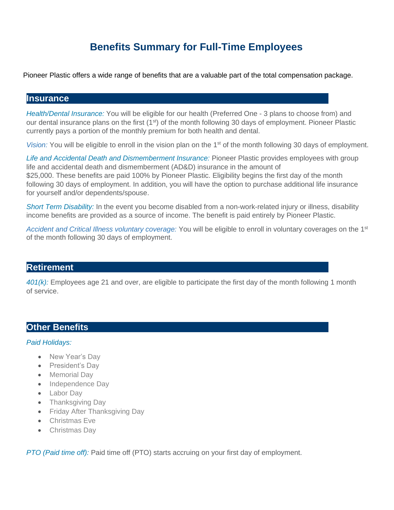# **Benefits Summary for Full-Time Employees**

Pioneer Plastic offers a wide range of benefits that are a valuable part of the total compensation package.

#### **Insurance**

*Health/Dental Insurance:* You will be eligible for our health (Preferred One - 3 plans to choose from) and our dental insurance plans on the first (1<sup>st</sup>) of the month following 30 days of employment. Pioneer Plastic currently pays a portion of the monthly premium for both health and dental.

*Vision:* You will be eligible to enroll in the vision plan on the 1<sup>st</sup> of the month following 30 days of employment.

*Life and Accidental Death and Dismemberment Insurance:* Pioneer Plastic provides employees with group life and accidental death and dismemberment (AD&D) insurance in the amount of \$25,000. These benefits are paid 100% by Pioneer Plastic. Eligibility begins the first day of the month following 30 days of employment. In addition, you will have the option to purchase additional life insurance for yourself and/or dependents/spouse.

*Short Term Disability:* In the event you become disabled from a non-work-related injury or illness, disability income benefits are provided as a source of income. The benefit is paid entirely by Pioneer Plastic.

Accident and Critical Illness voluntary coverage: You will be eligible to enroll in voluntary coverages on the 1<sup>st</sup> of the month following 30 days of employment.

## **Retirement**

*401(k):* Employees age 21 and over, are eligible to participate the first day of the month following 1 month of service.

## **Other Benefits**

#### *Paid Holidays:*

- New Year's Dav
- President's Dav
- Memorial Day
- Independence Day
- Labor Day
- Thanksgiving Day
- Friday After Thanksgiving Day
- Christmas Eve
- Christmas Day

*PTO (Paid time off):* Paid time off (PTO) starts accruing on your first day of employment.